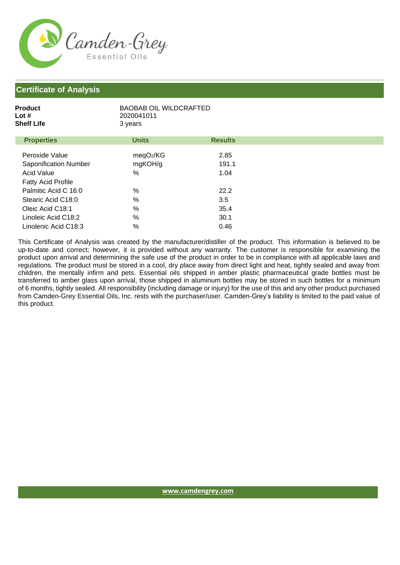

## **Certificate of Analysis**

| Product    | <b>BAOBAB OIL WILDCRAFTED</b> |
|------------|-------------------------------|
| Lot #      | 2020041011                    |
| Shelf Life | 3 years                       |
|            |                               |

| <b>Properties</b>         | <b>Units</b>          | <b>Results</b> |
|---------------------------|-----------------------|----------------|
|                           |                       |                |
| Peroxide Value            | meqO <sub>2</sub> /KG | 2.85           |
| Saponification Number     | mgKOH/g               | 191.1          |
| <b>Acid Value</b>         | %                     | 1.04           |
| <b>Fatty Acid Profile</b> |                       |                |
| Palmitic Acid C 16:0      | %                     | 22.2           |
| Stearic Acid C18:0        | $\%$                  | 3.5            |
| Oleic Acid C18:1          | %                     | 35.4           |
| Linoleic Acid C18:2       | %                     | 30.1           |
| Linolenic Acid C18:3      | %                     | 0.46           |

This Certificate of Analysis was created by the manufacturer/distiller of the product. This information is believed to be up-to-date and correct; however, it is provided without any warranty. The customer is responsible for examining the product upon arrival and determining the safe use of the product in order to be in compliance with all applicable laws and regulations. The product must be stored in a cool, dry place away from direct light and heat, tightly sealed and away from children, the mentally infirm and pets. Essential oils shipped in amber plastic pharmaceutical grade bottles must be transferred to amber glass upon arrival, those shipped in aluminum bottles may be stored in such bottles for a minimum of 6 months, tightly sealed. All responsibility (including damage or injury) for the use of this and any other product purchased from Camden-Grey Essential Oils, Inc. rests with the purchaser/user. Camden-Grey's liability is limited to the paid value of this product.